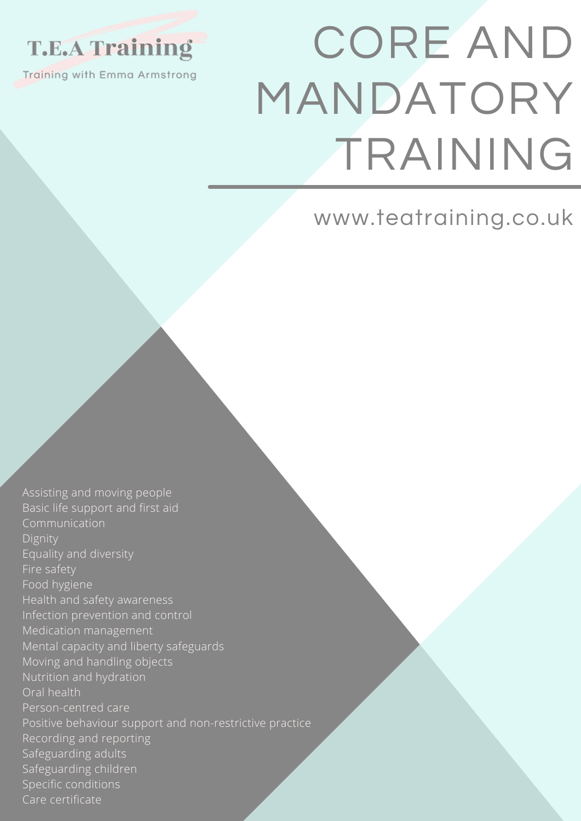### **T.E.A Training**

Training with Emma Armstrong

# CORE AND MANDATORY TRAINING

www.teatraining.co.uk

Assisting and moving people Basic life support and first aid Communication Dignity Equality and diversity Fire safety Food hygiene Health and safety awareness Infection prevention and control Medication management Mental capacity and liberty safeguards Moving and handling objects Nutrition and hydration Oral health Person-centred care Positive behaviour support and non-restrictive practice Recording and reporting Safeguarding adults Safeguarding children Specific conditions Care certificate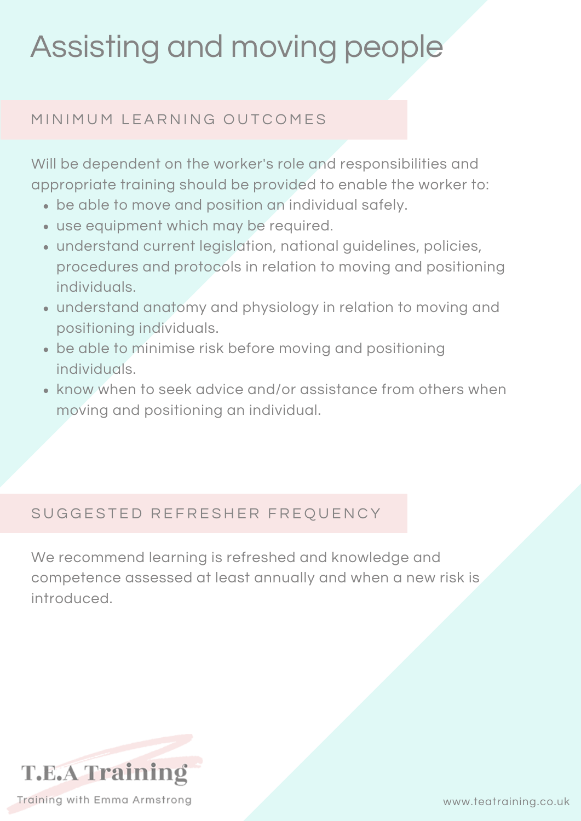### Assisting and moving people

#### MINIMUM LEARNING OUTCOMES

Will be dependent on the worker's role and responsibilities and appropriate training should be provided to enable the worker to:

- be able to move and position an individual safely.
- use equipment which may be required.
- understand current legislation, national guidelines, policies, procedures and protocols in relation to moving and positioning individuals.
- understand anatomy and physiology in relation to moving and positioning individuals.
- be able to minimise risk before moving and positioning individuals.
- know when to seek advice and/or assistance from others when moving and positioning an individual.

#### SUGGESTED REFRESHER FREQUENCY

We recommend learning is refreshed and knowledge and competence assessed at least annually and when a new risk is introduced.



www.teatraining.co.uk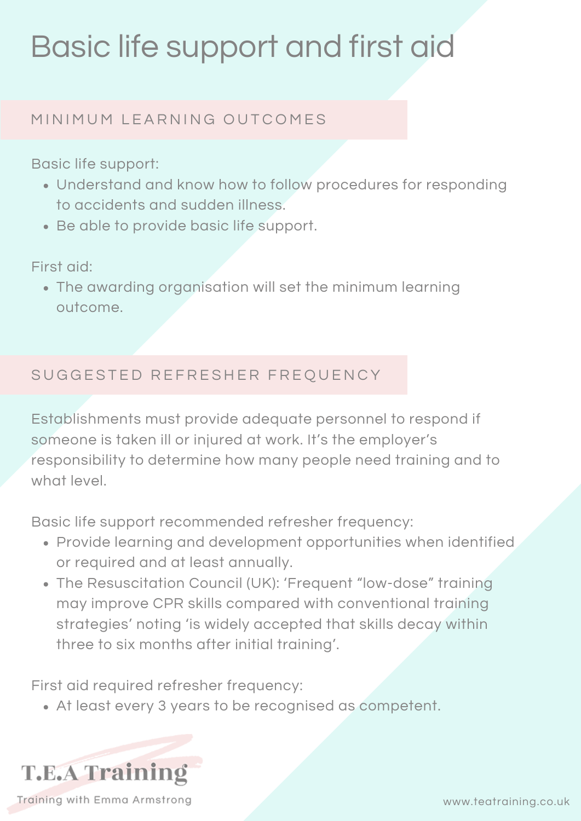### Basic life support and first aid

#### MINIMUM LEARNING OUTCOMES

Basic life support:

- Understand and know how to follow procedures for responding to accidents and sudden illness.
- Be able to provide basic life support.

First aid:

The awarding organisation will set the minimum learning outcome.

#### SUGGESTED REFRESHER FREQUENCY

Establishments must provide adequate personnel to respond if someone is taken ill or injured at work. It's the employer's responsibility to determine how many people need training and to what level.

Basic life support recommended refresher frequency:

- Provide learning and development opportunities when identified or required and at least annually.
- The Resuscitation Council (UK): 'Frequent "low-dose" training may improve CPR skills compared with conventional training strategies' noting 'is widely accepted that skills decay within three to six months after initial training'.

First aid required refresher frequency:

At least every 3 years to be recognised as competent.

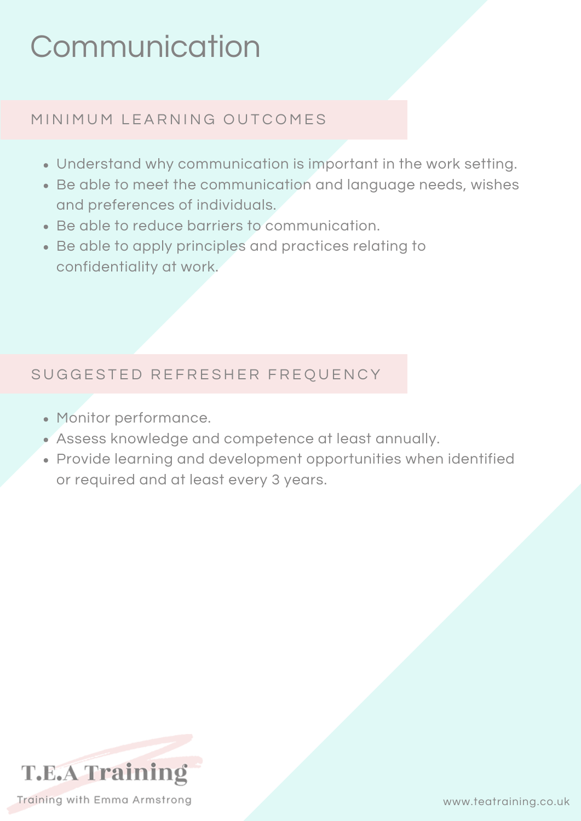### **Communication**

#### MINIMUM LEARNING OUTCOMES

- Understand why communication is important in the work setting.
- Be able to meet the communication and language needs, wishes and preferences of individuals.
- Be able to reduce barriers to communication.
- Be able to apply principles and practices relating to confidentiality at work.

#### SUGGESTED REFRESHER FREQUENCY

- Monitor performance.
- Assess knowledge and competence at least annually.
- Provide learning and development opportunities when identified or required and at least every 3 years.

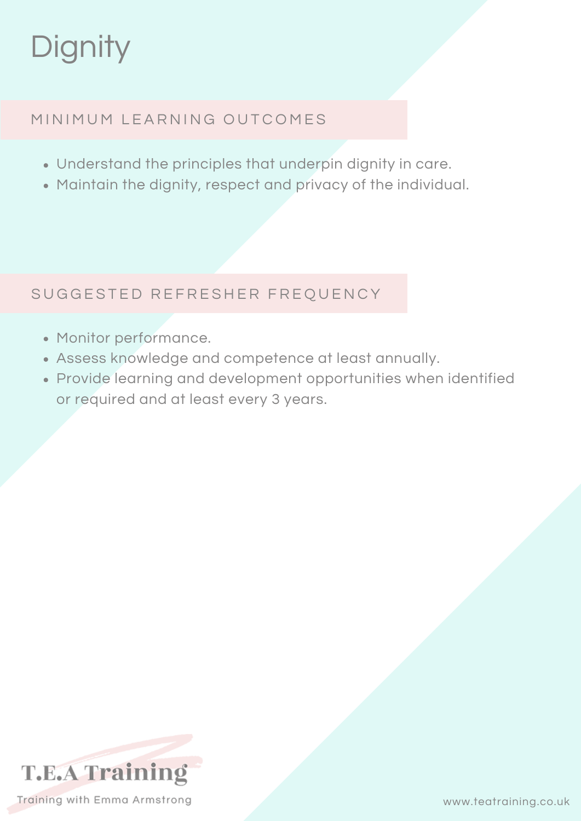## **Dignity**

#### MINIMUM LEARNING OUTCOMES

- Understand the principles that underpin dignity in care.
- Maintain the dignity, respect and privacy of the individual.

#### SUGGESTED REFRESHER FREQUENCY

- Monitor performance.
- Assess knowledge and competence at least annually.
- Provide learning and development opportunities when identified or required and at least every 3 years.

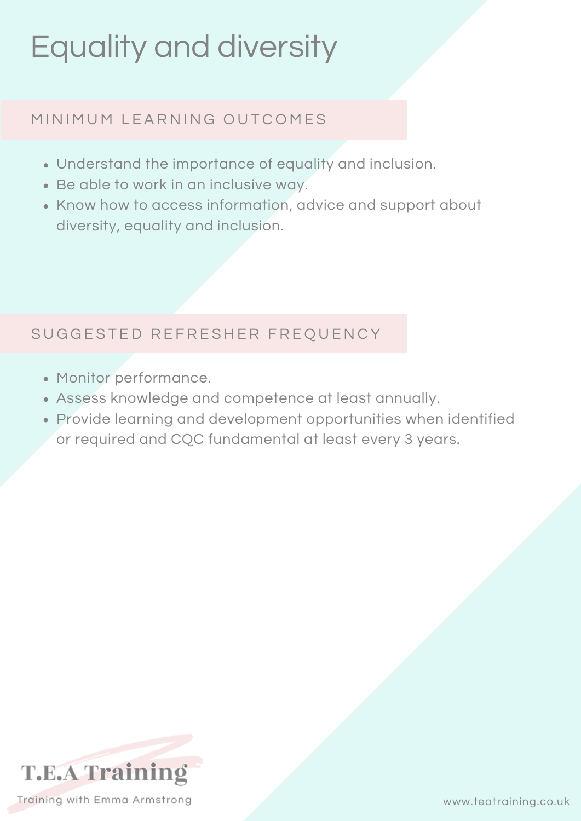### Equality and diversity

#### MINIMUM LEARNING OUTCOMES

- Understand the importance of equality and inclusion.
- Be able to work in an inclusive way.
- Know how to access information, advice and support about diversity, equality and inclusion.

#### SUGGESTED REFRESHER FREQUENCY

- Monitor performance.
- Assess knowledge and competence at least annually.
- Provide learning and development opportunities when identified or required and CQC fundamental at least every 3 years.

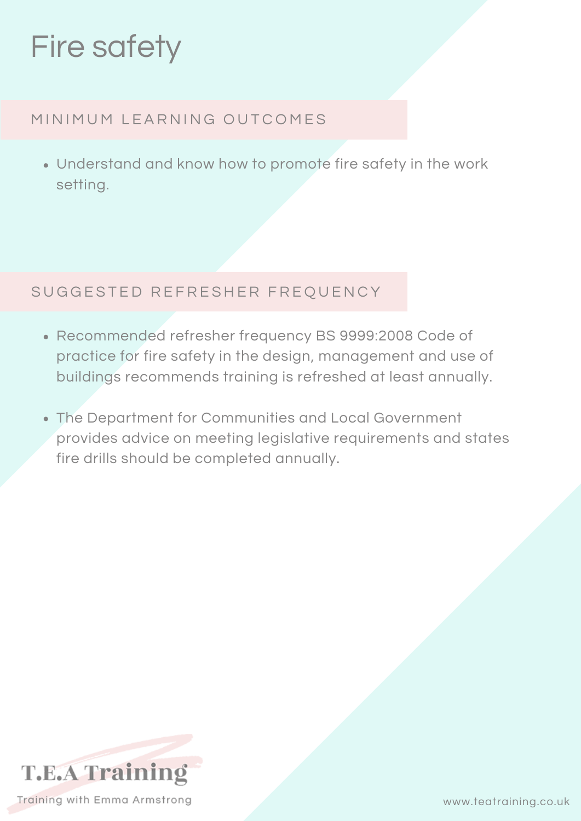### Fire safety

#### MINIMUM LEARNING OUTCOMES

Understand and know how to promote fire safety in the work setting.

#### SUGGESTED REFRESHER FREQUENCY

- Recommended refresher frequency BS 9999:2008 Code of practice for fire safety in the design, management and use of buildings recommends training is refreshed at least annually.
- The Department for Communities and Local Government provides advice on meeting legislative requirements and states fire drills should be completed annually.

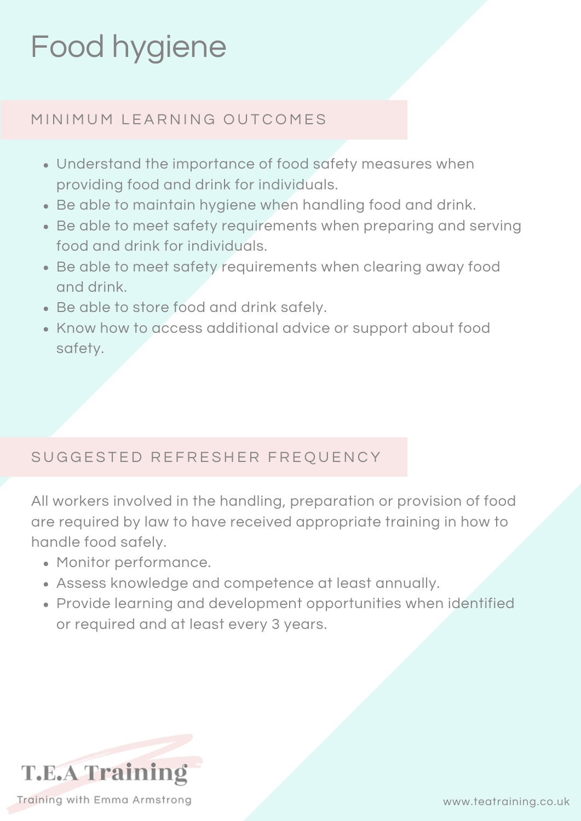### Food hygiene

#### MINIMUM LEARNING OUTCOMES

- Understand the importance of food safety measures when providing food and drink for individuals.
- Be able to maintain hygiene when handling food and drink.
- Be able to meet safety requirements when preparing and serving food and drink for individuals.
- Be able to meet safety requirements when clearing away food and drink.
- Be able to store food and drink safely.
- Know how to access additional advice or support about food safety.

#### SUGGESTED REFRESHER FREQUENCY

All workers involved in the handling, preparation or provision of food are required by law to have received appropriate training in how to handle food safely.

- Monitor performance.
- Assess knowledge and competence at least annually.
- Provide learning and development opportunities when identified or required and at least every 3 years.

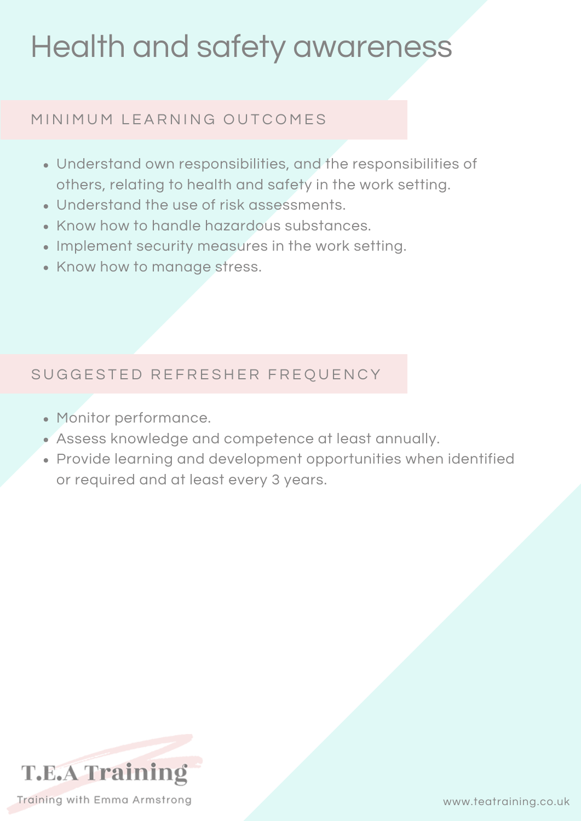### Health and safety awareness

#### MINIMUM LEARNING OUTCOMES

- Understand own responsibilities, and the responsibilities of others, relating to health and safety in the work setting.
- Understand the use of risk assessments.
- Know how to handle hazardous substances.
- Implement security measures in the work setting.
- Know how to manage stress.

#### SUGGESTED REFRESHER FREQUENCY

- Monitor performance.
- Assess knowledge and competence at least annually.
- Provide learning and development opportunities when identified or required and at least every 3 years.

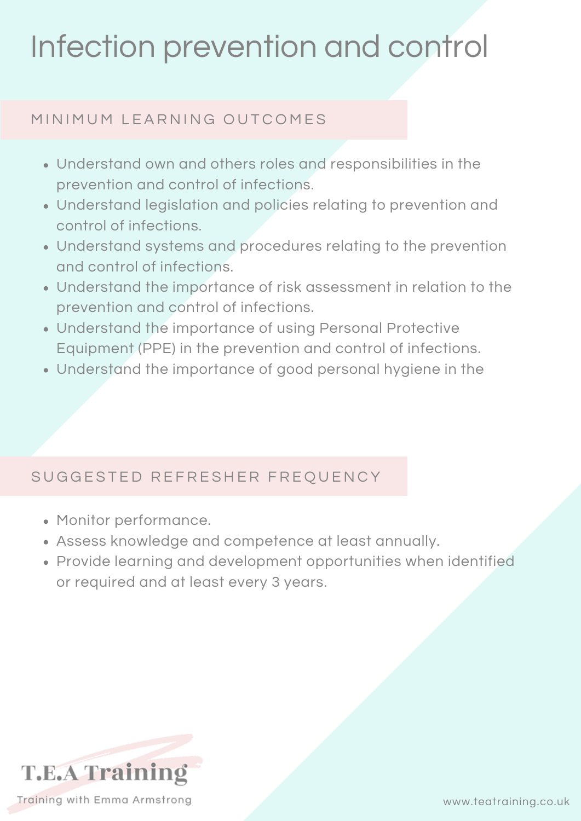### Infection prevention and control

#### MINIMUM LEARNING OUTCOMES

- Understand own and others roles and responsibilities in the prevention and control of infections.
- Understand legislation and policies relating to prevention and control of infections.
- Understand systems and procedures relating to the prevention and control of infections.
- Understand the importance of risk assessment in relation to the prevention and control of infections.
- Understand the importance of using Personal Protective Equipment (PPE) in the prevention and control of infections.
- Understand the importance of good personal hygiene in the

#### SUGGESTED REFRESHER FREQUENCY

- Monitor performance.
- Assess knowledge and competence at least annually.
- Provide learning and development opportunities when identified or required and at least every 3 years.



www.teatraining.co.uk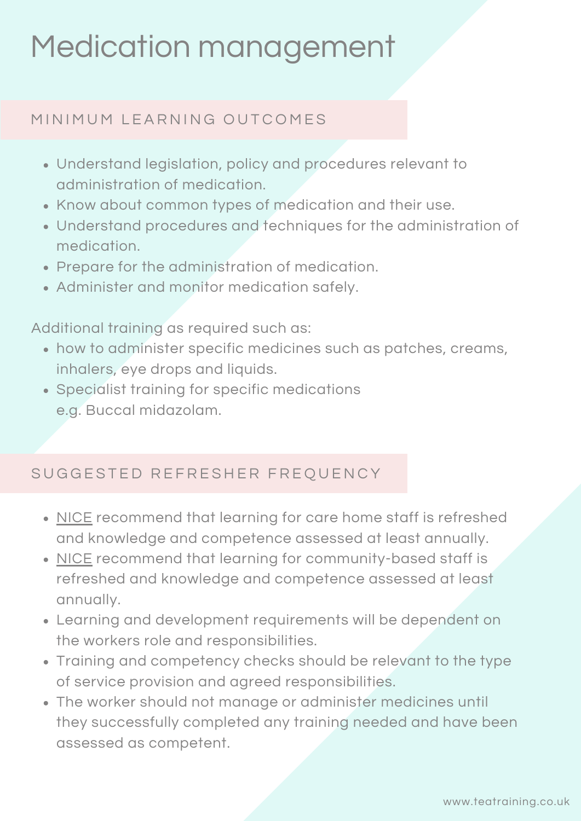### Medication management

#### MINIMUM LEARNING OUTCOMES

- Understand legislation, policy and procedures relevant to administration of medication.
- Know about common types of medication and their use.
- Understand procedures and techniques for the administration of medication.
- Prepare for the administration of medication.
- Administer and monitor medication safely.

Additional training as required such as:

- how to administer specific medicines such as patches, creams, inhalers, eye drops and liquids.
- Specialist training for specific medications e.g. Buccal midazolam.

#### SUGGESTED REFRESHER FREQUENCY

- [NICE](https://www.nice.org.uk/guidance/sc1/chapter/What-is-this-guideline-about-and-who-is-it-for) recommend that learning for care home staff is refreshed and knowledge and competence assessed at least annually.
- [NICE](https://www.nice.org.uk/guidance/ng67/chapter/recommendations?utm_medium=(other)&utm_source=socialcare&utm_campaign=tpresource) recommend that learning for community-based staff is refreshed and knowledge and competence assessed at least annually.
- Learning and development requirements will be dependent on the workers role and responsibilities.
- Training and competency checks should be relevant to the type of service provision and agreed responsibilities.
- The worker should not manage or administer medicines until they successfully completed any training needed and have been assessed as competent.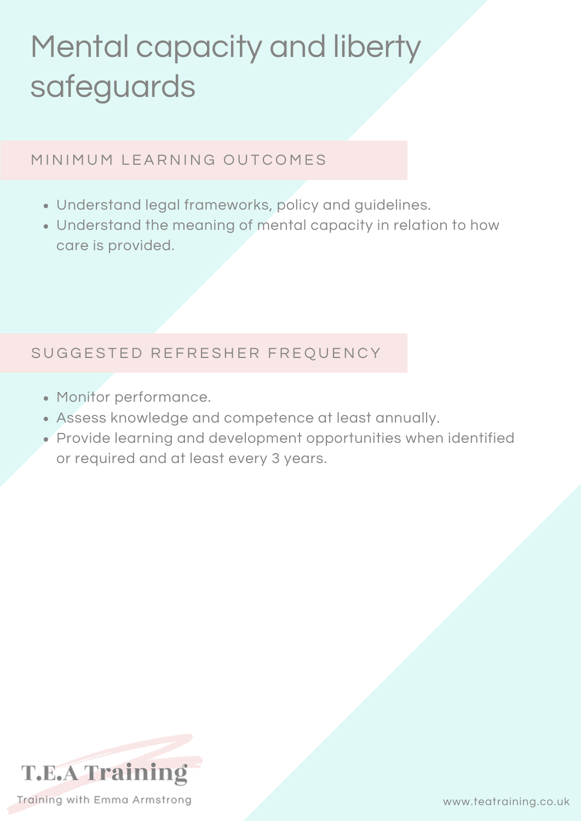## Mental capacity and liberty safeguards

#### MINIMUM LEARNING OUTCOMES

- Understand legal frameworks, policy and guidelines.
- Understand the meaning of mental capacity in relation to how care is provided.

#### SUGGESTED REFRESHER FREQUENCY

- Monitor performance.
- Assess knowledge and competence at least annually.
- Provide learning and development opportunities when identified or required and at least every 3 years.

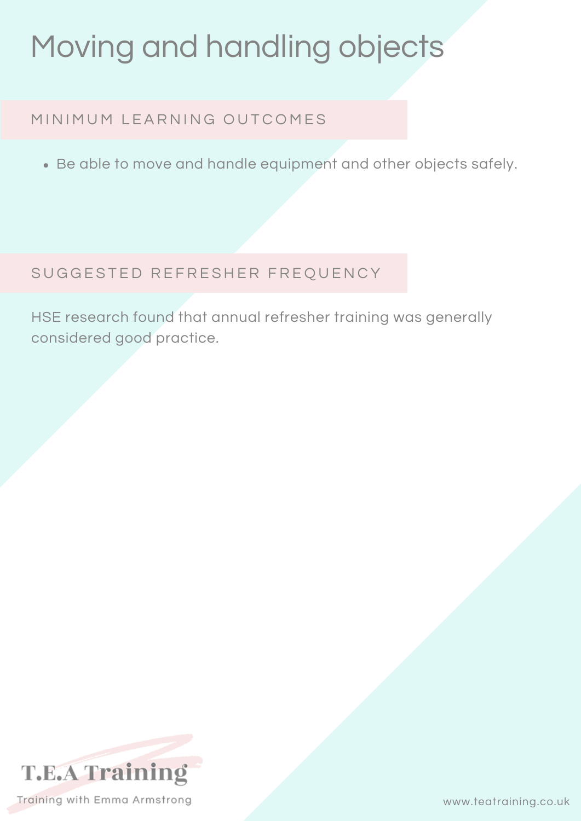### Moving and handling objects

#### MINIMUM LEARNING OUTCOMES

Be able to move and handle equipment and other objects safely.

#### SUGGESTED REFRESHER FREQUENCY

HSE research found that annual refresher training was generally considered good practice.

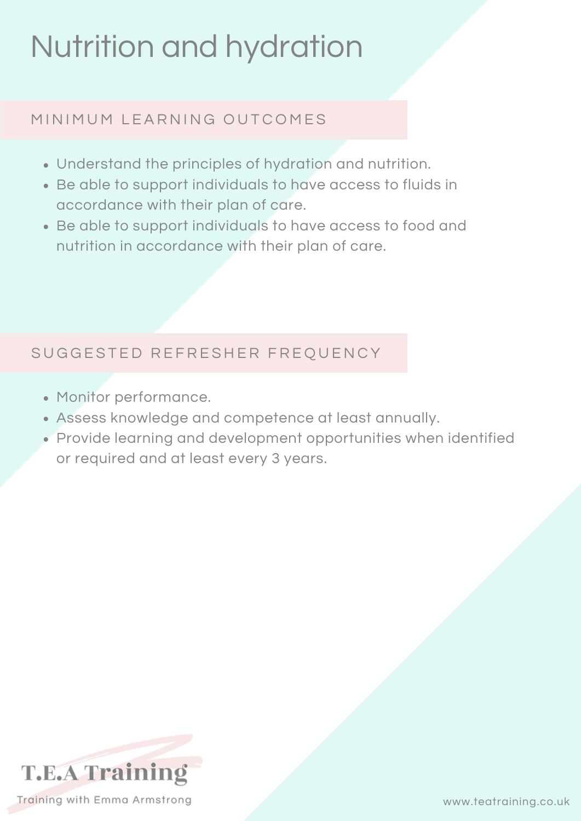### Nutrition and hydration

#### MINIMUM LEARNING OUTCOMES

- Understand the principles of hydration and nutrition.
- Be able to support individuals to have access to fluids in accordance with their plan of care.
- Be able to support individuals to have access to food and nutrition in accordance with their plan of care.

#### SUGGESTED REFRESHER FREQUENCY

- Monitor performance.
- Assess knowledge and competence at least annually.
- Provide learning and development opportunities when identified or required and at least every 3 years.

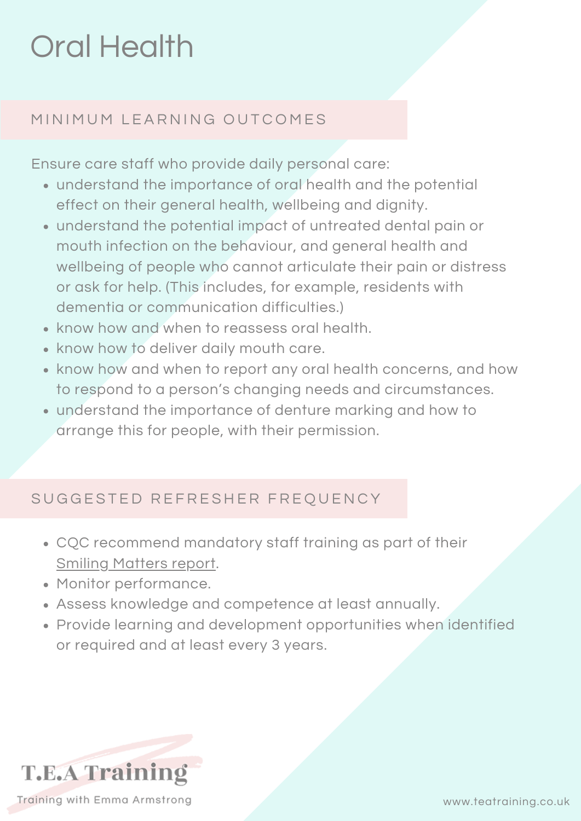### Oral Health

#### MINIMUM LEARNING OUTCOMES

Ensure care staff who provide daily personal care:

- understand the importance of oral health and the potential effect on their general health, wellbeing and dignity.
- understand the potential impact of untreated dental pain or mouth infection on the behaviour, and general health and wellbeing of people who cannot articulate their pain or distress or ask for help. (This includes, for example, residents with dementia or communication difficulties.)
- know how and when to reassess oral health.
- know how to deliver daily mouth care.
- know how and when to report any oral health concerns, and how to respond to a person's changing needs and circumstances.
- understand the importance of denture marking and how to arrange this for people, with their permission.

#### SUGGESTED REFRESHER FREQUENCY

- CQC recommend mandatory staff training as part of their Smiling [Matters](https://www.cqc.org.uk/publications/major-report/smiling-matters-oral-health-care-care-homes) report.
- Monitor performance.
- Assess knowledge and competence at least annually.
- Provide learning and development opportunities when identified or required and at least every 3 years.

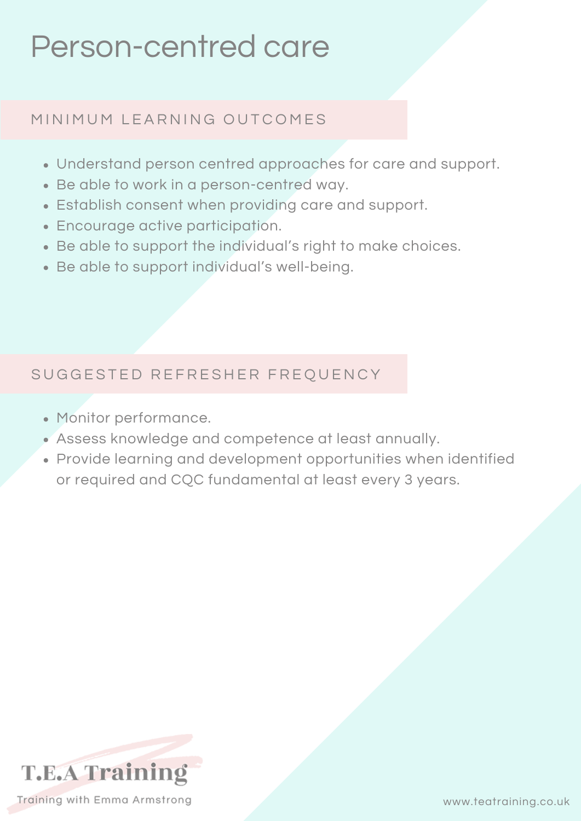### Person-centred care

#### MINIMUM LEARNING OUTCOMES

- Understand person centred approaches for care and support.
- Be able to work in a person-centred way.
- Establish consent when providing care and support.
- Encourage active participation.
- Be able to support the individual's right to make choices.
- Be able to support individual's well-being.

#### SUGGESTED REFRESHER FREQUENCY

- Monitor performance.
- Assess knowledge and competence at least annually.
- Provide learning and development opportunities when identified or required and CQC fundamental at least every 3 years.

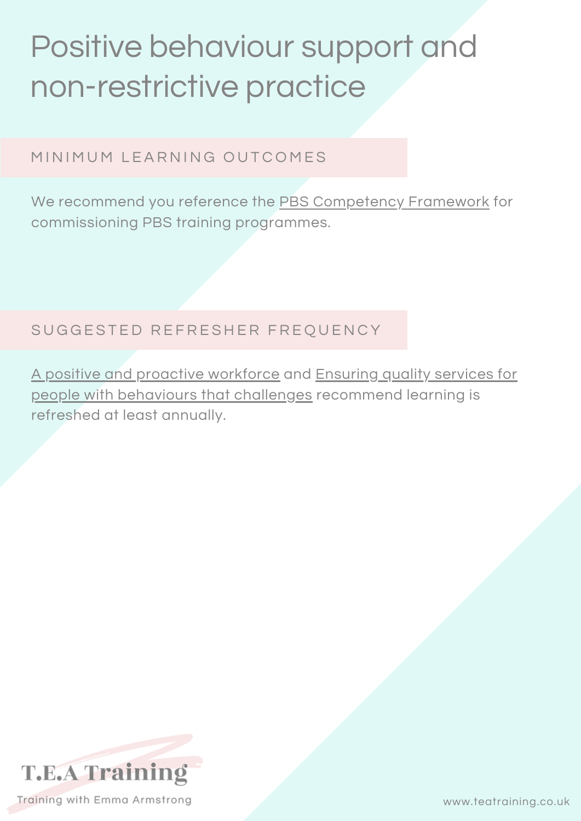### Positive behaviour support and non-restrictive practice

MINIMUM LEARNING OUTCOMES

We recommend you reference the PBS [Competency](http://pbsacademy.org.uk/pbs-competence-framework/) Framework for commissioning PBS training programmes.

SUGGESTED REFRESHER FREQUENCY

A positive and proactive [workforce](https://www.skillsforcare.org.uk/Documents/Topics/Restrictive-practices/A-positive-and-proactive-workforce.pdf) and Ensuring quality services for people with behaviours that challenges [recommend](https://www.local.gov.uk/our-support/our-improvement-offer/care-and-health-improvement/transforming-care/place-i-call-home/ensuring-quality) learning is refreshed at least annually.

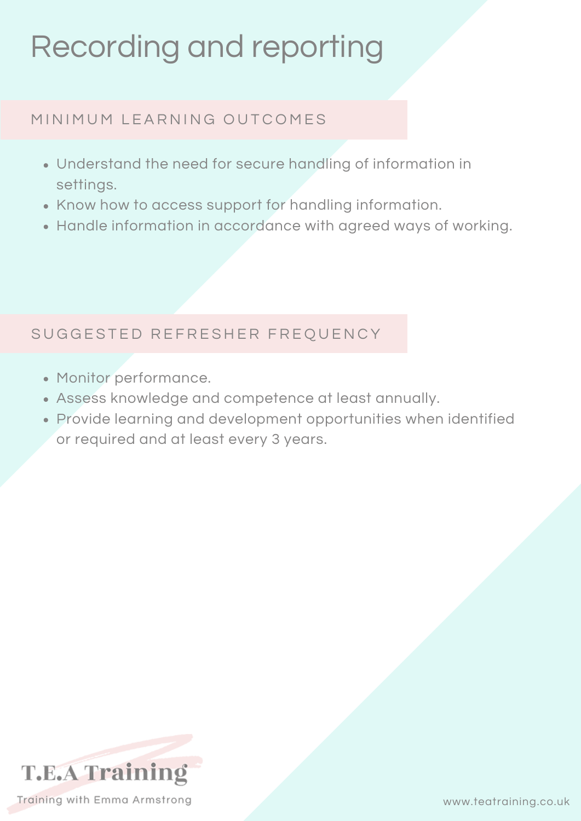### Recording and reporting

#### MINIMUM LEARNING OUTCOMES

- Understand the need for secure handling of information in settings.
- Know how to access support for handling information.
- Handle information in accordance with agreed ways of working.

#### SUGGESTED REFRESHER FREQUENCY

- Monitor performance.
- Assess knowledge and competence at least annually.
- Provide learning and development opportunities when identified or required and at least every 3 years.

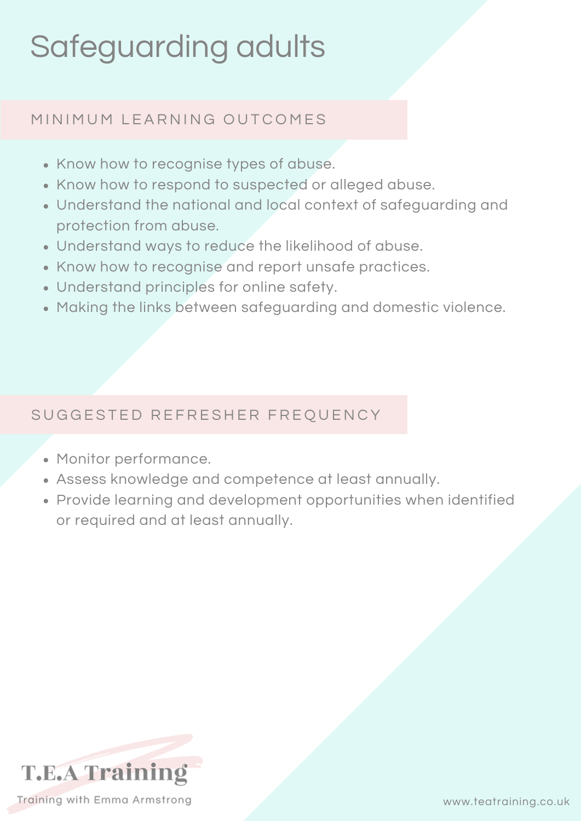## Safeguarding adults

#### MINIMUM LEARNING OUTCOMES

- Know how to recognise types of abuse.
- Know how to respond to suspected or alleged abuse.
- Understand the national and local context of safeguarding and protection from abuse.
- Understand ways to reduce the likelihood of abuse.
- Know how to recognise and report unsafe practices.
- Understand principles for online safety.
- Making the links between safeguarding and domestic violence.

#### SUGGESTED REFRESHER FREQUENCY

- Monitor performance.
- Assess knowledge and competence at least annually.
- Provide learning and development opportunities when identified or required and at least annually.



www.teatraining.co.uk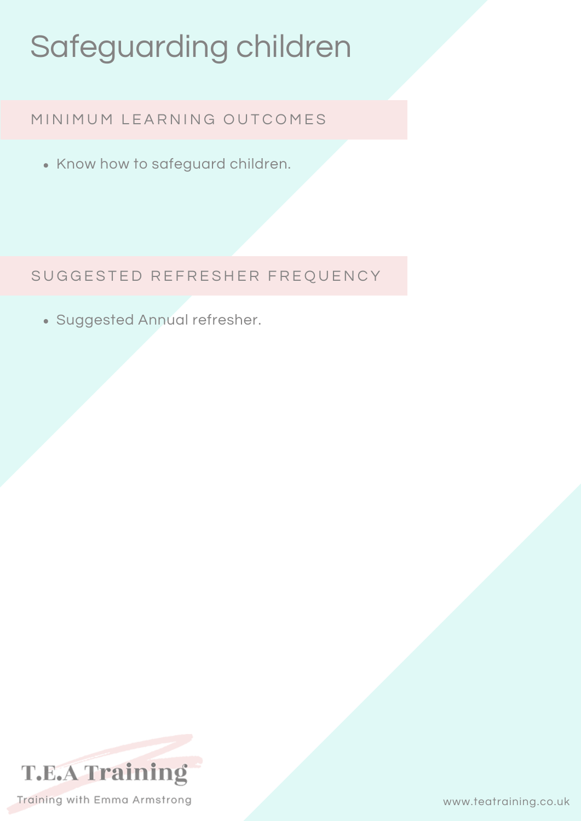## Safeguarding children

#### MINIMUM LEARNING OUTCOMES

• Know how to safeguard children.

SUGGESTED REFRESHER FREQUENCY

Suggested Annual refresher.

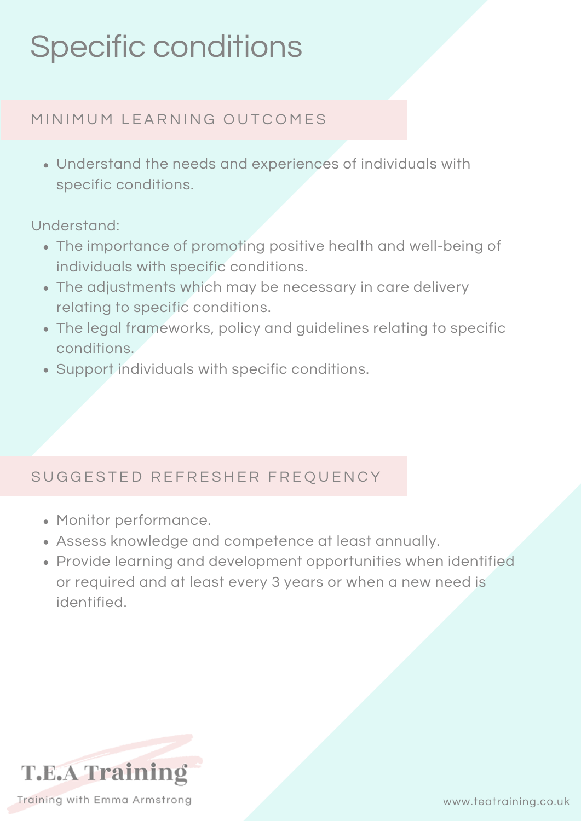### Specific conditions

#### MINIMUM LEARNING OUTCOMES

Understand the needs and experiences of individuals with specific conditions.

Understand:

- The importance of promoting positive health and well-being of individuals with specific conditions.
- The adjustments which may be necessary in care delivery relating to specific conditions.
- The legal frameworks, policy and guidelines relating to specific conditions.
- Support individuals with specific conditions.

#### SUGGESTED REFRESHER FREQUENCY

- Monitor performance.
- Assess knowledge and competence at least annually.
- Provide learning and development opportunities when identified or required and at least every 3 years or when a new need is identified.

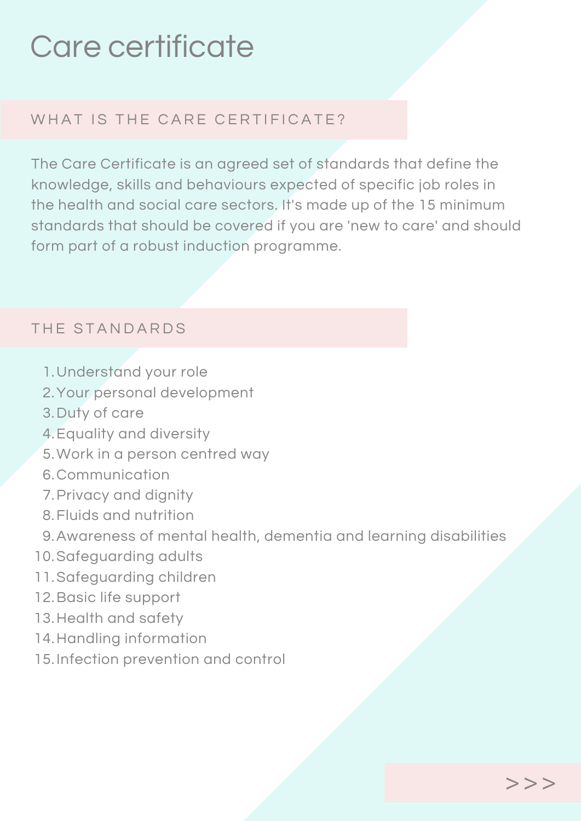### Care certificate

#### WHAT IS THE CARE CERTIFICATE?

The Care Certificate is an agreed set of standards that define the knowledge, skills and behaviours expected of specific job roles in the health and social care sectors. It's made up of the 15 minimum standards that should be covered if you are 'new to care' and should form part of a robust induction programme.

#### THE STANDARDS

- 1. Understand your role
- 2. Your personal development
- 3. Duty of care
- Equality and diversity 4.
- 5. Work in a person centred way
- 6. Communication
- 7. Privacy and dignity
- Fluids and nutrition 8.
- Awareness of mental health, dementia and learning disabilities 9.
- 10. Safeguarding adults
- 11. Safeguarding children
- 12. Basic life support
- 13. Health and safety
- 14. Handling information
- 15. Infection prevention and control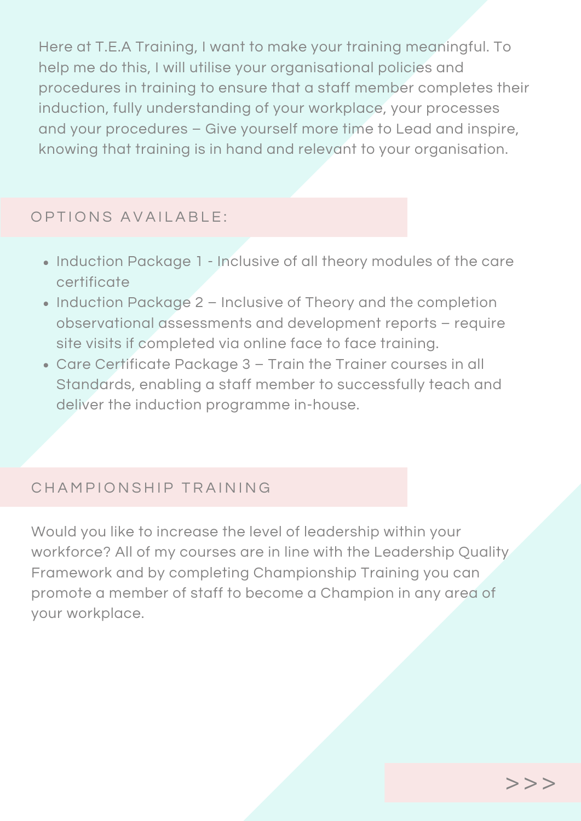Here at T.E.A Training, I want to make your training meaningful. To help me do this, I will utilise your organisational policies and procedures in training to ensure that a staff member completes their induction, fully understanding of your workplace, your processes and your procedures – Give yourself more time to Lead and inspire, knowing that training is in hand and relevant to your organisation.

#### OPTIONS AVAILABLE:

- Induction Package 1 Inclusive of all theory modules of the care certificate
- Induction Package 2 Inclusive of Theory and the completion observational assessments and development reports – require site visits if completed via online face to face training.
- Care Certificate Package 3 Train the Trainer courses in all Standards, enabling a staff member to successfully teach and deliver the induction programme in-house.

#### CHAMPIONSHIP TRAINING

Would you like to increase the level of leadership within your workforce? All of my courses are in line with the Leadership Quality Framework and by completing Championship Training you can promote a member of staff to become a Champion in any area of your workplace.